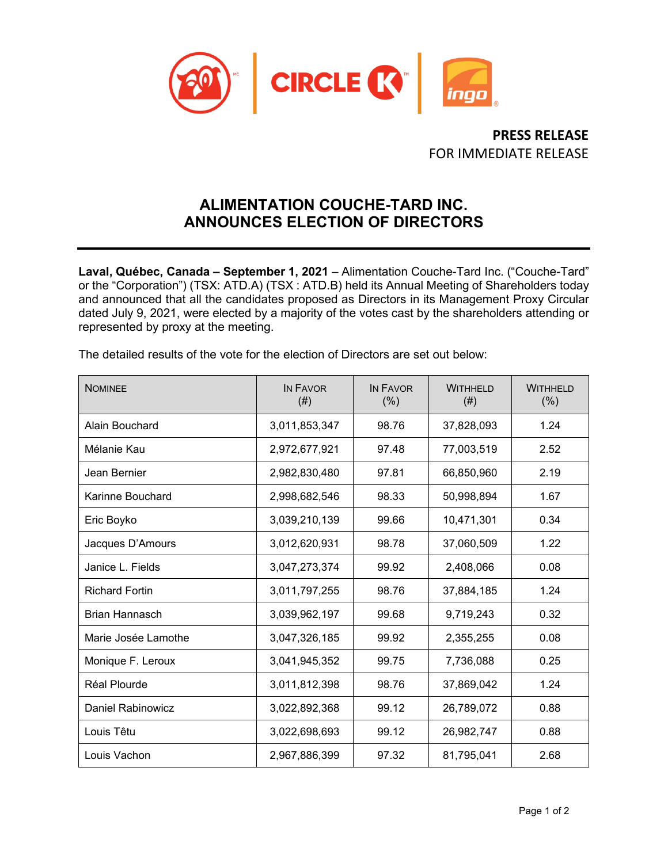

**PRESS RELEASE** FOR IMMEDIATE RELEASE

# **ALIMENTATION COUCHE-TARD INC. ANNOUNCES ELECTION OF DIRECTORS**

**Laval, Québec, Canada – September 1, 2021** – Alimentation Couche-Tard Inc. ("Couche-Tard" or the "Corporation") (TSX: ATD.A) (TSX : ATD.B) held its Annual Meeting of Shareholders today and announced that all the candidates proposed as Directors in its Management Proxy Circular dated July 9, 2021, were elected by a majority of the votes cast by the shareholders attending or represented by proxy at the meeting.

| The detailed results of the vote for the election of Directors are set out below: |  |
|-----------------------------------------------------------------------------------|--|
|-----------------------------------------------------------------------------------|--|

| <b>NOMINEE</b>        | IN FAVOR<br>(# ) | IN FAVOR<br>(% ) | <b>WITHHELD</b><br>(# ) | <b>WITHHELD</b><br>(% ) |
|-----------------------|------------------|------------------|-------------------------|-------------------------|
| Alain Bouchard        | 3,011,853,347    | 98.76            | 37,828,093              | 1.24                    |
| Mélanie Kau           | 2,972,677,921    | 97.48            | 77,003,519              | 2.52                    |
| Jean Bernier          | 2,982,830,480    | 97.81            | 66,850,960              | 2.19                    |
| Karinne Bouchard      | 2,998,682,546    | 98.33            | 50,998,894              | 1.67                    |
| Eric Boyko            | 3,039,210,139    | 99.66            | 10,471,301              | 0.34                    |
| Jacques D'Amours      | 3,012,620,931    | 98.78            | 37,060,509              | 1.22                    |
| Janice L. Fields      | 3,047,273,374    | 99.92            | 2,408,066               | 0.08                    |
| <b>Richard Fortin</b> | 3,011,797,255    | 98.76            | 37,884,185              | 1.24                    |
| <b>Brian Hannasch</b> | 3,039,962,197    | 99.68            | 9,719,243               | 0.32                    |
| Marie Josée Lamothe   | 3,047,326,185    | 99.92            | 2,355,255               | 0.08                    |
| Monique F. Leroux     | 3,041,945,352    | 99.75            | 7,736,088               | 0.25                    |
| Réal Plourde          | 3,011,812,398    | 98.76            | 37,869,042              | 1.24                    |
| Daniel Rabinowicz     | 3,022,892,368    | 99.12            | 26,789,072              | 0.88                    |
| Louis Têtu            | 3,022,698,693    | 99.12            | 26,982,747              | 0.88                    |
| Louis Vachon          | 2,967,886,399    | 97.32            | 81,795,041              | 2.68                    |